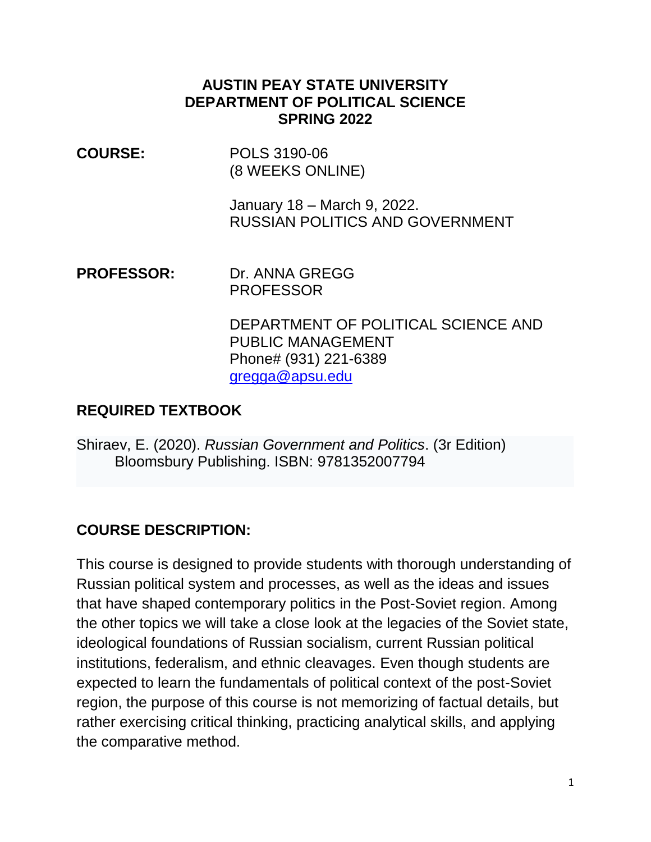#### **AUSTIN PEAY STATE UNIVERSITY DEPARTMENT OF POLITICAL SCIENCE SPRING 2022**

**COURSE:** POLS 3190-06 (8 WEEKS ONLINE)

> January 18 – March 9, 2022. RUSSIAN POLITICS AND GOVERNMENT

**PROFESSOR:** Dr. ANNA GREGG PROFESSOR

> DEPARTMENT OF POLITICAL SCIENCE AND PUBLIC MANAGEMENT Phone# (931) 221-6389 [gregga@apsu.edu](mailto:gregga@apsu.edu)

#### **REQUIRED TEXTBOOK**

Shiraev, E. (2020). *Russian Government and Politics*. (3r Edition) Bloomsbury Publishing. ISBN: 9781352007794

#### **COURSE DESCRIPTION:**

This course is designed to provide students with thorough understanding of Russian political system and processes, as well as the ideas and issues that have shaped contemporary politics in the Post-Soviet region. Among the other topics we will take a close look at the legacies of the Soviet state, ideological foundations of Russian socialism, current Russian political institutions, federalism, and ethnic cleavages. Even though students are expected to learn the fundamentals of political context of the post-Soviet region, the purpose of this course is not memorizing of factual details, but rather exercising critical thinking, practicing analytical skills, and applying the comparative method.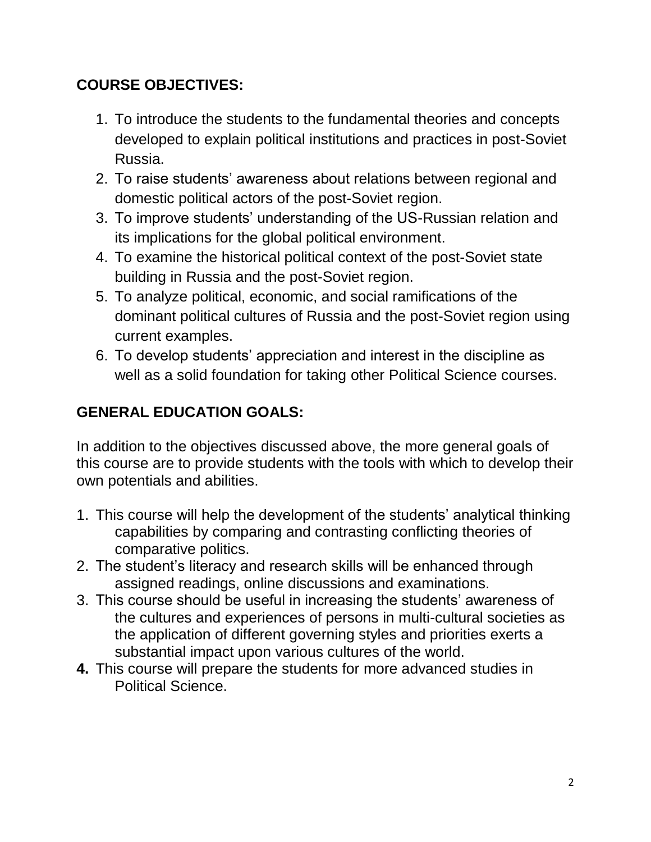## **COURSE OBJECTIVES:**

- 1. To introduce the students to the fundamental theories and concepts developed to explain political institutions and practices in post-Soviet Russia.
- 2. To raise students' awareness about relations between regional and domestic political actors of the post-Soviet region.
- 3. To improve students' understanding of the US-Russian relation and its implications for the global political environment.
- 4. To examine the historical political context of the post-Soviet state building in Russia and the post-Soviet region.
- 5. To analyze political, economic, and social ramifications of the dominant political cultures of Russia and the post-Soviet region using current examples.
- 6. To develop students' appreciation and interest in the discipline as well as a solid foundation for taking other Political Science courses.

# **GENERAL EDUCATION GOALS:**

In addition to the objectives discussed above, the more general goals of this course are to provide students with the tools with which to develop their own potentials and abilities.

- 1. This course will help the development of the students' analytical thinking capabilities by comparing and contrasting conflicting theories of comparative politics.
- 2. The student's literacy and research skills will be enhanced through assigned readings, online discussions and examinations.
- 3. This course should be useful in increasing the students' awareness of the cultures and experiences of persons in multi-cultural societies as the application of different governing styles and priorities exerts a substantial impact upon various cultures of the world.
- **4.** This course will prepare the students for more advanced studies in Political Science.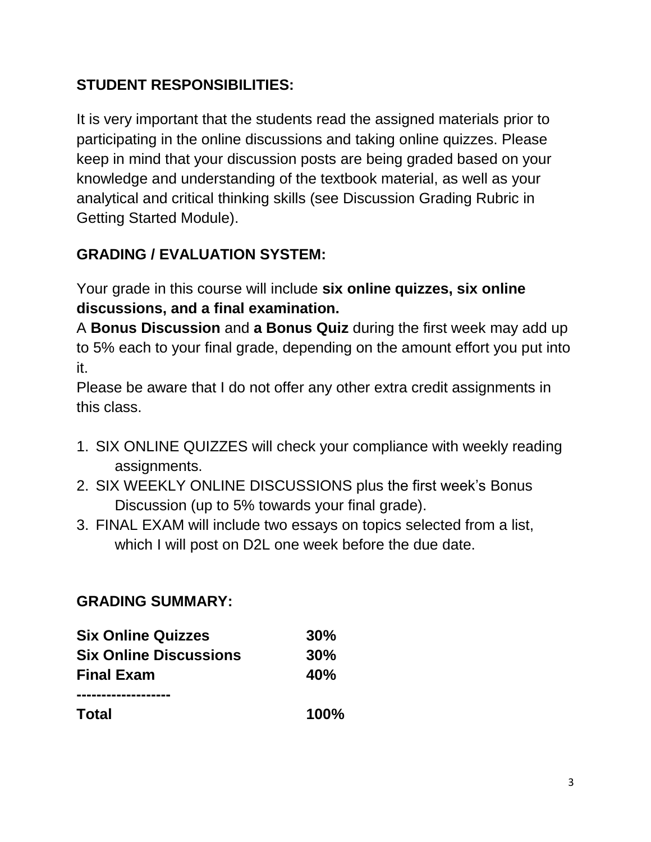# **STUDENT RESPONSIBILITIES:**

It is very important that the students read the assigned materials prior to participating in the online discussions and taking online quizzes. Please keep in mind that your discussion posts are being graded based on your knowledge and understanding of the textbook material, as well as your analytical and critical thinking skills (see Discussion Grading Rubric in Getting Started Module).

## **GRADING / EVALUATION SYSTEM:**

Your grade in this course will include **six online quizzes, six online discussions, and a final examination.** 

A **Bonus Discussion** and **a Bonus Quiz** during the first week may add up to 5% each to your final grade, depending on the amount effort you put into it.

Please be aware that I do not offer any other extra credit assignments in this class.

- 1. SIX ONLINE QUIZZES will check your compliance with weekly reading assignments.
- 2. SIX WEEKLY ONLINE DISCUSSIONS plus the first week's Bonus Discussion (up to 5% towards your final grade).
- 3. FINAL EXAM will include two essays on topics selected from a list, which I will post on D2L one week before the due date.

#### **GRADING SUMMARY:**

| <b>Six Online Quizzes</b><br><b>Six Online Discussions</b> | 30%<br>30%  |
|------------------------------------------------------------|-------------|
|                                                            |             |
|                                                            |             |
| <b>Total</b>                                               | <b>100%</b> |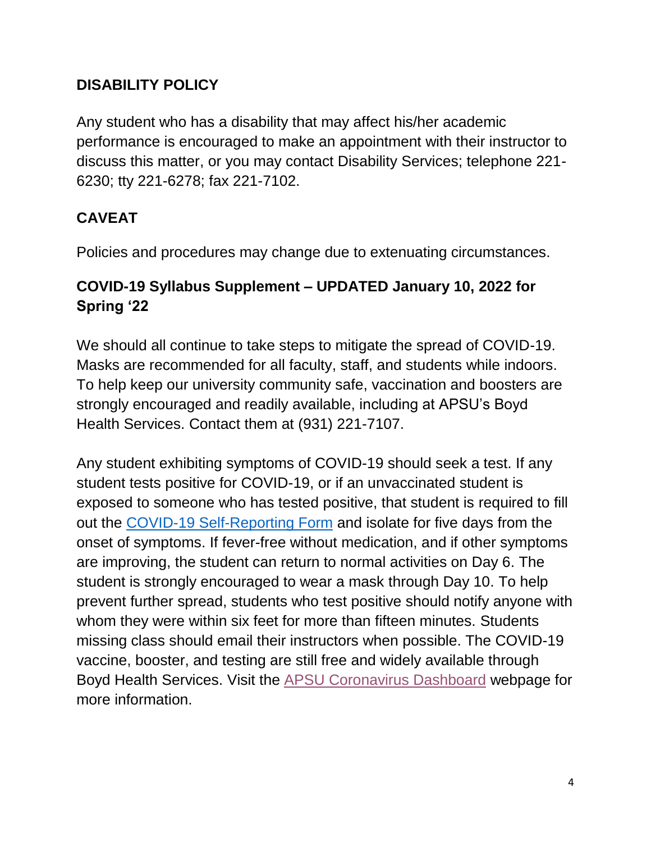#### **DISABILITY POLICY**

Any student who has a disability that may affect his/her academic performance is encouraged to make an appointment with their instructor to discuss this matter, or you may contact Disability Services; telephone 221- 6230; tty 221-6278; fax 221-7102.

# **CAVEAT**

Policies and procedures may change due to extenuating circumstances.

### **COVID-19 Syllabus Supplement – UPDATED January 10, 2022 for Spring '22**

We should all continue to take steps to mitigate the spread of COVID-19. Masks are recommended for all faculty, staff, and students while indoors. To help keep our university community safe, vaccination and boosters are strongly encouraged and readily available, including at APSU's Boyd Health Services. Contact them at (931) 221-7107.

Any student exhibiting symptoms of COVID-19 should seek a test. If any student tests positive for COVID-19, or if an unvaccinated student is exposed to someone who has tested positive, that student is required to fill out the [COVID-19 Self-Reporting Form](https://cm.maxient.com/reportingform.php?AustinPeayStateUniv&layout_id=19) and isolate for five days from the onset of symptoms. If fever-free without medication, and if other symptoms are improving, the student can return to normal activities on Day 6. The student is strongly encouraged to wear a mask through Day 10. To help prevent further spread, students who test positive should notify anyone with whom they were within six feet for more than fifteen minutes. Students missing class should email their instructors when possible. The COVID-19 vaccine, booster, and testing are still free and widely available through Boyd Health Services. Visit the [APSU Coronavirus Dashboard](https://apsu.edu/coronavirus/index.php) webpage for more information.